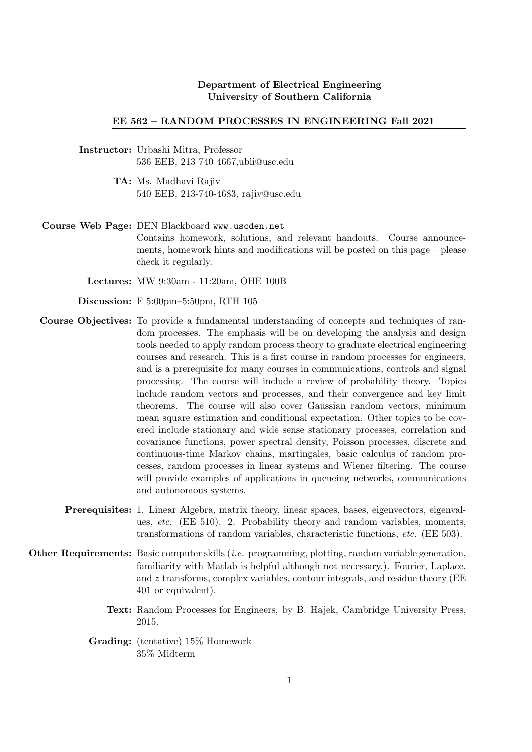## Department of Electrical Engineering University of Southern California

## EE 562 – RANDOM PROCESSES IN ENGINEERING Fall 2021

- Instructor: Urbashi Mitra, Professor 536 EEB, 213 740 4667,ubli@usc.edu
	- TA: Ms. Madhavi Rajiv 540 EEB, 213-740-4683, rajiv@usc.edu

Course Web Page: DEN Blackboard www.uscden.net Contains homework, solutions, and relevant handouts. Course announcements, homework hints and modifications will be posted on this page – please check it regularly.

Lectures: MW 9:30am - 11:20am, OHE 100B

Discussion: F 5:00pm–5:50pm, RTH 105

- Course Objectives: To provide a fundamental understanding of concepts and techniques of random processes. The emphasis will be on developing the analysis and design tools needed to apply random process theory to graduate electrical engineering courses and research. This is a first course in random processes for engineers, and is a prerequisite for many courses in communications, controls and signal processing. The course will include a review of probability theory. Topics include random vectors and processes, and their convergence and key limit theorems. The course will also cover Gaussian random vectors, minimum mean square estimation and conditional expectation. Other topics to be covered include stationary and wide sense stationary processes, correlation and covariance functions, power spectral density, Poisson processes, discrete and continuous-time Markov chains, martingales, basic calculus of random processes, random processes in linear systems and Wiener filtering. The course will provide examples of applications in queueing networks, communications and autonomous systems.
	- Prerequisites: 1. Linear Algebra, matrix theory, linear spaces, bases, eigenvectors, eigenvalues, etc. (EE 510). 2. Probability theory and random variables, moments, transformations of random variables, characteristic functions, etc. (EE 503).
- Other Requirements: Basic computer skills *(i.e.* programming, plotting, random variable generation, familiarity with Matlab is helpful although not necessary.). Fourier, Laplace, and  $z$  transforms, complex variables, contour integrals, and residue theory (EE 401 or equivalent).
	- Text: Random Processes for Engineers, by B. Hajek, Cambridge University Press, 2015.
	- Grading: (tentative) 15% Homework 35% Midterm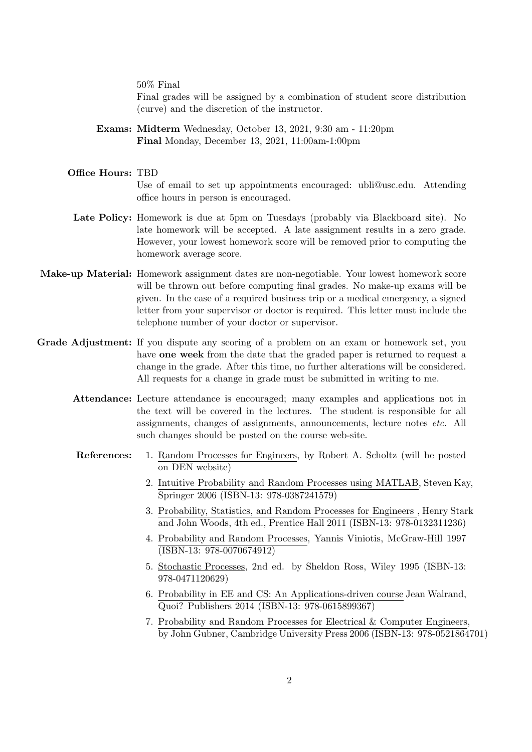50% Final

Final grades will be assigned by a combination of student score distribution (curve) and the discretion of the instructor.

- Exams: Midterm Wednesday, October 13, 2021, 9:30 am 11:20pm Final Monday, December 13, 2021, 11:00am-1:00pm
- Office Hours: TBD Use of email to set up appointments encouraged: ubli@usc.edu. Attending office hours in person is encouraged.
	- Late Policy: Homework is due at 5pm on Tuesdays (probably via Blackboard site). No late homework will be accepted. A late assignment results in a zero grade. However, your lowest homework score will be removed prior to computing the homework average score.
- Make-up Material: Homework assignment dates are non-negotiable. Your lowest homework score will be thrown out before computing final grades. No make-up exams will be given. In the case of a required business trip or a medical emergency, a signed letter from your supervisor or doctor is required. This letter must include the telephone number of your doctor or supervisor.
- Grade Adjustment: If you dispute any scoring of a problem on an exam or homework set, you have one week from the date that the graded paper is returned to request a change in the grade. After this time, no further alterations will be considered. All requests for a change in grade must be submitted in writing to me.
	- Attendance: Lecture attendance is encouraged; many examples and applications not in the text will be covered in the lectures. The student is responsible for all assignments, changes of assignments, announcements, lecture notes etc. All such changes should be posted on the course web-site.
	- References: 1. Random Processes for Engineers, by Robert A. Scholtz (will be posted on DEN website)
		- 2. Intuitive Probability and Random Processes using MATLAB, Steven Kay, Springer 2006 (ISBN-13: 978-0387241579)
		- 3. Probability, Statistics, and Random Processes for Engineers , Henry Stark and John Woods, 4th ed., Prentice Hall 2011 (ISBN-13: 978-0132311236)
		- 4. Probability and Random Processes, Yannis Viniotis, McGraw-Hill 1997 (ISBN-13: 978-0070674912)
		- 5. Stochastic Processes, 2nd ed. by Sheldon Ross, Wiley 1995 (ISBN-13: 978-0471120629)
		- 6. Probability in EE and CS: An Applications-driven course Jean Walrand, Quoi? Publishers 2014 (ISBN-13: 978-0615899367)
		- 7. Probability and Random Processes for Electrical & Computer Engineers, by John Gubner, Cambridge University Press 2006 (ISBN-13: 978-0521864701)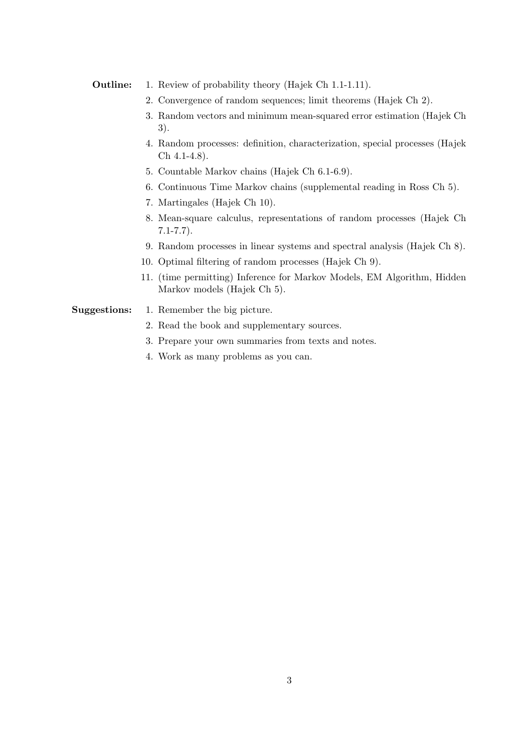## Outline: 1. Review of probability theory (Hajek Ch 1.1-1.11).

- 2. Convergence of random sequences; limit theorems (Hajek Ch 2).
- 3. Random vectors and minimum mean-squared error estimation (Hajek Ch 3).
- 4. Random processes: definition, characterization, special processes (Hajek Ch 4.1-4.8).
- 5. Countable Markov chains (Hajek Ch 6.1-6.9).
- 6. Continuous Time Markov chains (supplemental reading in Ross Ch 5).
- 7. Martingales (Hajek Ch 10).
- 8. Mean-square calculus, representations of random processes (Hajek Ch 7.1-7.7).
- 9. Random processes in linear systems and spectral analysis (Hajek Ch 8).
- 10. Optimal filtering of random processes (Hajek Ch 9).
- 11. (time permitting) Inference for Markov Models, EM Algorithm, Hidden Markov models (Hajek Ch 5).

## Suggestions: 1. Remember the big picture.

- 2. Read the book and supplementary sources.
- 3. Prepare your own summaries from texts and notes.
- 4. Work as many problems as you can.